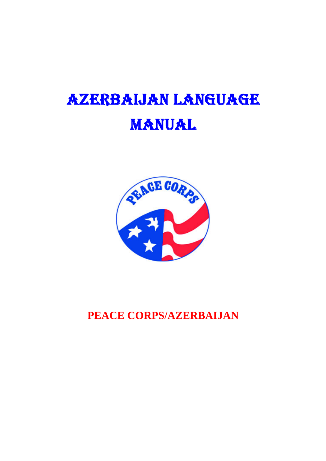# AZERBAIJAN LANGUAGE MANUAL



**PEACE CORPS/AZERBAIJAN**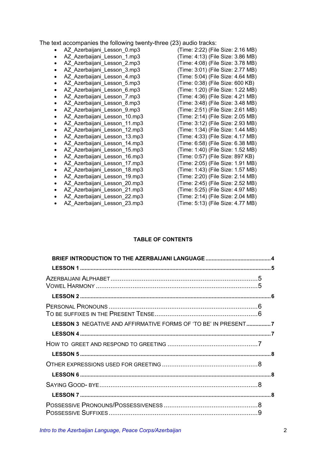The text accompanies the following twenty-three (23) audio tracks:

- 
- 
- 
- 
- 
- 
- 
- 
- 
- 
- 
- 
- 
- 
- 
- 
- 
- 
- 
- 
- 
- 
- 

• AZ\_Azerbaijani\_Lesson\_0.mp3 (Time: 2:22) (File Size: 2.16 MB) • AZ Azerbaijani Lesson 1.mp3 (Time: 4:13) (File Size: 3.86 MB) • AZ Azerbaijani Lesson 2.mp3 (Time: 4:08) (File Size: 3.78 MB) • AZ\_Azerbaijani\_Lesson\_3.mp3 (Time: 3:01) (File Size: 2.77 MB)  $(Time: 5:04)$  (File Size: 4.64 MB) • AZ\_Azerbaijani\_Lesson\_5.mp3 (Time: 0:38) (File Size: 600 KB) • AZ\_Azerbaijani\_Lesson\_6.mp3 (Time: 1:20) (File Size: 1.22 MB) • AZ\_Azerbaijani\_Lesson\_7.mp3 (Time: 4:36) (File Size: 4.21 MB) • AZ\_Azerbaijani\_Lesson\_8.mp3 (Time: 3:48) (File Size: 3.48 MB) AZ Azerbaijani Lesson 9.mp3 (Time: 2:51) (File Size: 2.61 MB) • AZ\_Azerbaijani\_Lesson\_10.mp3 (Time: 2:14) (File Size: 2.05 MB) • AZ\_Azerbaijani\_Lesson\_11.mp3 (Time: 3:12) (File Size: 2.93 MB) • AZ\_Azerbaijani\_Lesson\_12.mp3 (Time: 1:34) (File Size: 1.44 MB) • AZ\_Azerbaijani\_Lesson\_13.mp3 (Time: 4:33) (File Size: 4.17 MB) • AZ\_Azerbaijani\_Lesson\_14.mp3 (Time: 6:58) (File Size: 6.38 MB) AZ Azerbaijani Lesson 15.mp3 (Time: 1:40) (File Size: 1.52 MB) • AZ\_Azerbaijani\_Lesson\_16.mp3 (Time: 0:57) (File Size: 897 KB) AZ Azerbaijani Lesson 17.mp3 (Time: 2:05) (File Size: 1.91 MB) • AZ\_Azerbaijani\_Lesson\_18.mp3 (Time: 1:43) (File Size: 1.57 MB) AZ Azerbaijani Lesson 19.mp3 (Time: 2:20) (File Size: 2.14 MB) • AZ\_Azerbaijani\_Lesson\_20.mp3 (Time: 2:45) (File Size: 2.52 MB) • AZ\_Azerbaijani\_Lesson\_21.mp3 (Time: 5:25) (File Size: 4.97 MB) • AZ\_Azerbaijani\_Lesson\_22.mp3 (Time: 2:14) (File Size: 2.04 MB) • AZ\_Azerbaijani\_Lesson\_23.mp3 (Time: 5:13) (File Size: 4.77 MB)

#### **TABLE OF CONTENTS**

| LESSON 3 NEGATIVE AND AFFIRMATIVE FORMS OF 'TO BE' IN PRESENT7 |  |
|----------------------------------------------------------------|--|
|                                                                |  |
|                                                                |  |
|                                                                |  |
|                                                                |  |
|                                                                |  |
|                                                                |  |
|                                                                |  |
|                                                                |  |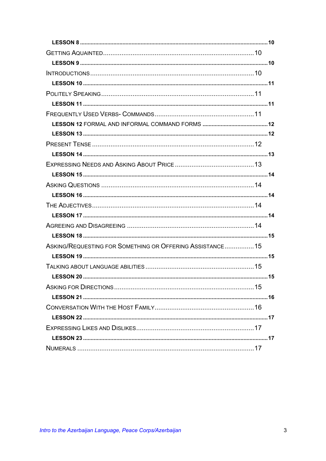| ASKING/REQUESTING FOR SOMETHING OR OFFERING ASSISTANCE15 |  |
|----------------------------------------------------------|--|
|                                                          |  |
|                                                          |  |
|                                                          |  |
|                                                          |  |
|                                                          |  |
|                                                          |  |
|                                                          |  |
|                                                          |  |
|                                                          |  |
|                                                          |  |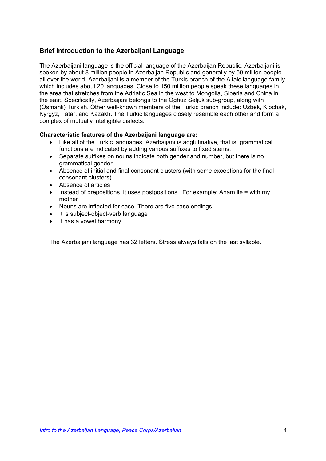### <span id="page-3-0"></span>**Brief Introduction to the Azerbaijani Language**

The Azerbaijani language is the official language of the Azerbaijan Republic. Azerbaijani is spoken by about 8 million people in Azerbaijan Republic and generally by 50 million people all over the world. Azerbaijani is a member of the Turkic branch of the Altaic language family, which includes about 20 languages. Close to 150 million people speak these languages in the area that stretches from the Adriatic Sea in the west to Mongolia, Siberia and China in the east. Specifically, Azerbaijani belongs to the Oghuz Seljuk sub-group, along with (Osmanli) Turkish. Other well-known members of the Turkic branch include: Uzbek, Kipchak, Kyrgyz, Tatar, and Kazakh. The Turkic languages closely resemble each other and form a complex of mutually intelligible dialects.

#### **Characteristic features of the Azerbaijani language are:**

- Like all of the Turkic languages, Azerbaijani is agglutinative, that is, grammatical functions are indicated by adding various suffixes to fixed stems.
- Separate suffixes on nouns indicate both gender and number, but there is no grammatical gender.
- Absence of initial and final consonant clusters (with some exceptions for the final consonant clusters)
- Absence of articles
- Instead of prepositions, it uses postpositions . For example: Anam ilə = with my mother
- Nouns are inflected for case. There are five case endings.
- It is subject-object-verb language
- It has a vowel harmony

The Azerbaijani language has 32 letters. Stress always falls on the last syllable.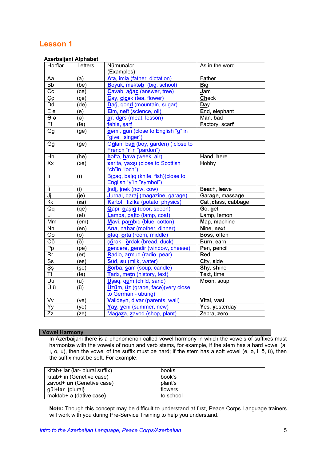#### <span id="page-4-0"></span> **Azerbaijani Alphabet**

| Hərflər               | ,,,,,,,,,,,,,,,,,,,,,,,<br>Letters | Nümunələr                                             | As in the word       |
|-----------------------|------------------------------------|-------------------------------------------------------|----------------------|
|                       |                                    | (Examples)                                            |                      |
| Aa                    | (a)                                | Ata, imla (father, dictation)                         | Father               |
| $\overline{Bb}$       | (be)                               | Böyük, məktəb (big, school)                           | <b>Big</b>           |
| $\overline{Cc}$       | (ce)                               | Cavab, ağac (answer, tree)                            | Jam                  |
| Çç                    | (çe)                               | Cay, cicek (tea, flower)                              | <b>Check</b>         |
| Dd                    | (de)                               | Dağ, qand (mountain, sugar)                           | Day                  |
| $E$ e                 | (e)                                | Elm, neft (science, oil)                              | End, elephant        |
| $\overline{\Theta}$   | (ə)                                | <b>a</b> T, dars (meat, lesson)                       | Man, bad             |
| Ff                    | (fe)                               | fəhlə, şarf                                           | Factory, scarf       |
| Gg                    | (ge)                               | gemi, gün (close to English "g" in                    |                      |
| Ğğ                    |                                    | "give, singer")<br>Oğlan, bağ (boy, garden) (close to |                      |
|                       | ( <b>ğe</b> )                      | French "r"in "pardon")                                |                      |
| Hh                    | (he)                               | hefte, hava (week, air)                               | Hand, here           |
| $\overline{X}$        | (xe)                               | xerite, yaxsı (close to Scottish                      | Hobby                |
|                       |                                    | "ch"in "loch")                                        |                      |
| II.                   | (1)                                | Bicaq, baliq (knife, fish)(close to                   |                      |
|                       |                                    | English "y"in "symbol")                               |                      |
| İi.                   | (i)                                | Indi, inak (now, cow)                                 | Beach, leave         |
| Jj                    | (ie)                               | Jurnal, qaraj (magazine, garage)                      | Garage, massage      |
| Кк                    | (ка)                               | Kartof, fizika (potato, physics)                      | Cat , class, cabbage |
| Qq                    | (qe)                               | Qapı, gaşıg (door, spoon)                             | Go, get              |
| П                     | (el)                               | Lampa, palto (lamp, coat)                             | Lamp, lemon          |
| Mm                    | (em)                               | Mavi, pambiq (blue, cotton)                           | Map, machine         |
| Nn                    | (en)                               | Ana, nahar (mother, dinner)                           | Nine, next           |
| Oo                    | (o)                                | otaq, orta (room, middle)                             | Boss, often          |
| Öö                    | (ö)                                | çörək, ördək (bread, duck)                            | Burn, earn           |
| Pp                    | (pe)                               | pancara, pendir (window, cheese)                      | Pen, pencil          |
| Rr                    | (er)                               | Radio, armud (radio, pear)                            | Red                  |
| $\overline{\text{S}}$ | (es)                               | Süd, su (milk, water)                                 | City, side           |
| Şş                    | ( <i>se</i> )                      | Sorba, sam (soup, candle)                             | Shy, shine           |
| <b>Tt</b>             | (te)                               | Tarix, matn (history, text)                           | Text, time           |
| Uu                    | (u)                                | Usaq, qum (child, sand)                               | Moon, soup           |
| Üü                    | (i)                                | Uzüm, üz (grape, face) (very close                    |                      |
|                       |                                    | to German - übung)                                    |                      |
| Vv                    | (ve)                               | Valideyn, divar (parents, wall)                       | Vital, vast          |
| Yy                    | (ye)                               | Yay, yeni (summer, new)                               | Yes, yesterday       |
| Zz                    | (ze)                               | Mağaza, zavod (shop, plant)                           | Zebra, zero          |

#### **Vowel Harmony**

In Azerbaijani there is a phenomenon called vowel harmony in which the vowels of suffixes must harmonize with the vowels of noun and verb stems, for example, if the stem has a hard vowel (a, ı, o, u), then the vowel of the suffix must be hard; if the stem has a soft vowel (e, ə, i, ö, ü), then the suffix must be soft. For example:

| kitab+ lar (lar- plural suffix) | <b>books</b> |
|---------------------------------|--------------|
| kitab+ in (Genetive case)       | book's       |
| zavod+ un (Genetive case)       | plant's      |
| gül+l <b>ər</b> (plural)        | flowers      |
| məktəb+ <b>ə</b> (dative case)  | to school    |

**Note:** Though this concept may be difficult to understand at first, Peace Corps Language trainers will work with you during Pre-Service Training to help you understand.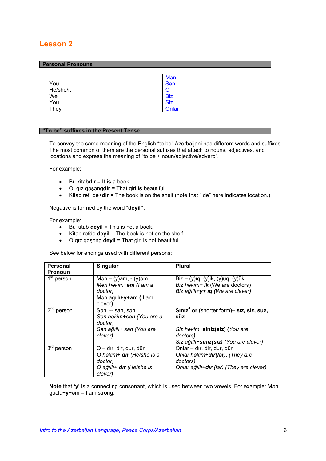#### <span id="page-5-0"></span>**Personal Pronouns**

|           | Mən        |
|-----------|------------|
| You       | San        |
| He/she/it | O          |
| We        | <b>Biz</b> |
| You       | <b>Siz</b> |
| They      | Onlar      |

#### **"To be" suffixes in the Present Tense**

To convey the same meaning of the English "to be" Azerbaijani has different words and suffixes. The most common of them are the personal suffixes that attach to nouns, adjectives, and locations and express the meaning of "to be + noun/adjective/adverb".

For example:

- Bu kitab**dır** = It **is** a book.
- O, qız qəşəng**dir =** That girl **is** beautiful.
- Kitab rəf+də+**dir** = The book is on the shelf (note that " də" here indicates location.).

Negative is formed by the word "**deyil".** 

For example:

- Bu kitab **deyil** = This is not a book.
- Kitab rəfdə **deyil** = The book is not on the shelf.
- O qız qəşəng **deyil** = That girl is not beautiful.

See below for endings used with different persons:

| <b>Personal</b>                   | Singular                       | <b>Plural</b>                                        |
|-----------------------------------|--------------------------------|------------------------------------------------------|
| <b>Pronoun</b>                    |                                |                                                      |
| $\overline{1}^{\text{st}}$ person | Mən $- (y)$ am, $- (y)$ əm     | $\overline{B}$ iz – (y)ıq, (y)ik, (y)uq, (y)ük       |
|                                   | Mən həkim+ <b>əm</b> (I am a   | Biz hakim+ ik (We are doctors)                       |
|                                   | doctor)                        | Biz ağıllı+y+ ıq (We are clever)                     |
|                                   | Mən ağıllı <b>+y+am</b> ( I am |                                                      |
|                                   | clever)                        |                                                      |
| $2^{nd}$<br>person                | San -- san, san                | Siniz <sup>4</sup> or (shorter form)- siz, siz, suz, |
|                                   | San hakim+san (You are a       | süz                                                  |
|                                   | doctor)                        |                                                      |
|                                   | San ağıllı+ san (You are       | Siz hakim+siniz(siz) (You are                        |
|                                   | clever)                        | doctors)                                             |
|                                   |                                | Siz ağıllı+sınız(sız) (You are clever)               |
| $3rd$ person                      | O – dır, dir, dur, dür         | Onlar - dır, dir, dur, dür                           |
|                                   | O həkim+ dir (He/she is a      | Onlar həkim+dir(lər). (They are                      |
|                                   | doctor)                        | doctors)                                             |
|                                   | O ağıllı+ dır (He/she is       | Onlar ağıllı+dır (lar) (They are clever)             |
|                                   | clever)                        |                                                      |

**Note** that **'y'** is a connecting consonant, which is used between two vowels. For example: Mən güclü+**y**+əm = I am strong.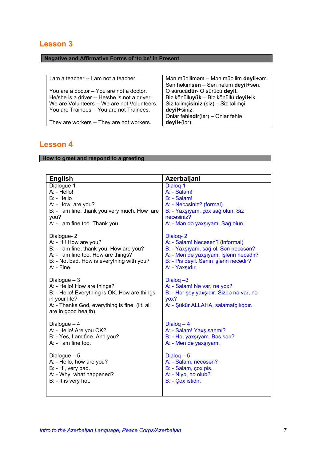### <span id="page-6-0"></span>**Negative and Affirmative Forms of 'to be' in Present**

| I am a teacher -- I am not a teacher.         | Mən müəlliməm - Mən müəllim deyil+əm.  |
|-----------------------------------------------|----------------------------------------|
|                                               | San hakimsan - San hakim deyil+san.    |
| You are a doctor - You are not a doctor.      | O sürücüdür- O sürücü deyil.           |
| He/she is a driver -- He/she is not a driver. | Biz könüllüyük - Biz könüllü deyil+ik. |
| We are Volunteers -- We are not Volunteers.   | Siz təlimçisiniz (siz) - Siz təlimçi   |
| You are Trainees - You are not Trainees.      | deyil+siniz.                           |
|                                               | Onlar fəhlədir(lər) - Onlar fəhlə      |
| They are workers -- They are not workers.     | deyil+(lər).                           |

# **Lesson 4**

### **How to greet and respond to a greeting**

| <b>English</b>                                                                                                                                                                         | Azerbaijani                                                                                                                          |
|----------------------------------------------------------------------------------------------------------------------------------------------------------------------------------------|--------------------------------------------------------------------------------------------------------------------------------------|
| Dialogue-1                                                                                                                                                                             | Dialog-1                                                                                                                             |
| A: - Hello!                                                                                                                                                                            | A: - Salam!                                                                                                                          |
| B: - Hello                                                                                                                                                                             | B: - Salam!                                                                                                                          |
| A: - How are you?                                                                                                                                                                      | A: - Necəsiniz? (formal)                                                                                                             |
| B: - I am fine, thank you very much. How are                                                                                                                                           | B: - Yaxşıyam, çox sağ olun. Siz                                                                                                     |
| you?                                                                                                                                                                                   | necasiniz?                                                                                                                           |
| A: - I am fine too. Thank you.                                                                                                                                                         | A: - Mən də yaxşıyam. Sağ olun.                                                                                                      |
| Dialogue-2                                                                                                                                                                             | Dialog-2                                                                                                                             |
| A: - Hi! How are you?                                                                                                                                                                  | A: - Salam! Necasan? (informal)                                                                                                      |
| B: - I am fine, thank you. How are you?                                                                                                                                                | B: - Yaxşıyam, sağ ol. Sən necəsən?                                                                                                  |
| A: - I am fine too. How are things?                                                                                                                                                    | A: - Mən də yaxşıyam. İşlərin necədir?                                                                                               |
| B: - Not bad. How is everything with you?                                                                                                                                              | B: - Pis deyil. Sanin işlarin necadir?                                                                                               |
| $A:$ - Fine.                                                                                                                                                                           | A: - Yaxşıdır.                                                                                                                       |
| Dialogue $-3$<br>A: - Hello! How are things?<br>B: - Hello! Everything is OK. How are things<br>in your life?<br>A: - Thanks God, everything is fine. (lit. all<br>are in good health) | Dialog $-3$<br>A: - Salam! Nə var, nə yox?<br>B: - Hər şey yaxşıdır. Sizdə nə var, nə<br>yox?<br>A: - Şükür ALLAHA, salamatçılıqdır. |
| Dialogue $-4$                                                                                                                                                                          | Dialog $-4$                                                                                                                          |
| A: - Hello! Are you OK?                                                                                                                                                                | A: - Salam! Yaxşısanmı?                                                                                                              |
| B: - Yes, I am fine. And you?                                                                                                                                                          | B: - Hə, yaxşıyam. Bəs sən?                                                                                                          |
| A: - I am fine too.                                                                                                                                                                    | A: - Man da yaxşıyam.                                                                                                                |
| Dialogue $-5$                                                                                                                                                                          | Dialog $-5$                                                                                                                          |
| A: - Hello, how are you?                                                                                                                                                               | A: - Salam, necasan?                                                                                                                 |
| B: - Hi, very bad.                                                                                                                                                                     | B: - Salam, çox pis.                                                                                                                 |
| A: - Why, what happened?                                                                                                                                                               | A: - Niya, na olub?                                                                                                                  |
| B: - It is very hot.                                                                                                                                                                   | B: - Çox istidir.                                                                                                                    |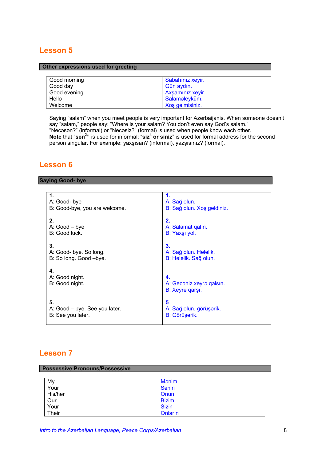#### <span id="page-7-0"></span>**Other expressions used for greeting**

| Good morning | Sabahınız xeyir. |
|--------------|------------------|
| Good day     | Gün aydın.       |
| Good evening | Axşamınız xeyir. |
| Hello        | Salaməleyküm.    |
| Welcome      | Xoş gəlmisiniz.  |

Saying "salam" when you meet people is very important for Azerbaijanis. When someone doesn't say "salam," people say: "Where is your salam? You don't even say God's salam." "Necəsən?" (informal) or "Necəsiz?" (formal) is used when people know each other. Note that "son<sup>2</sup>" is used for informal; "siz<sup>4</sup> or siniz" is used for formal address for the second person singular. For example: yaxşısan? (informal), yazşısınız? (formal).

### **Lesson 6**

#### **Saying Good- bye**

| $\mathbf 1$                   | 1.                         |
|-------------------------------|----------------------------|
| A: Good-bye                   | A: Sağ olun.               |
| B: Good-bye, you are welcome. | B: Sağ olun. Xoş gəldiniz. |
| 2.                            | 2.                         |
| $A: Good - byte$              | A: Salamat galin.          |
| B: Good luck.                 | B: Yaxşı yol.              |
| 3.                            | 3.                         |
| A: Good- bye. So long.        | A: Sağ olun. Hələlik.      |
| B: So long. Good -bye.        | B: Hələlik. Sağ olun.      |
| 4.                            | 4.                         |
| A: Good night.                | A: Gecəniz xeyrə qalsın.   |
| B: Good night.                | B: Xeyrə qarşı.            |
| 5.                            | 5.                         |
| A: Good – bye. See you later. | A: Sağ olun, görüşərik.    |
| B: See you later.             | B: Görüşərik.              |

| <b>Possessive Pronouns/Possessive</b> |               |  |
|---------------------------------------|---------------|--|
|                                       |               |  |
| My                                    | Mənim         |  |
| Your                                  | <b>S</b> enin |  |
| His/her                               | Onun          |  |
| Our                                   | <b>Bizim</b>  |  |
| Your                                  | <b>Sizin</b>  |  |
| Their                                 | Onların       |  |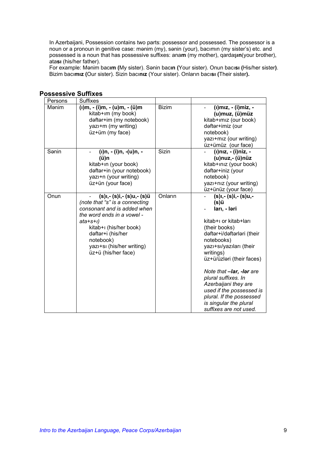<span id="page-8-0"></span>In Azerbaijani, Possession contains two parts: possessor and possessed. The possessor is a noun or a pronoun in genitive case: mənim (my), sənin (your), bacımın (my sister's) etc. and possessed is a noun that has possessive suffixes: ana**m** (my mother), qardaş**ın**(your brother), ata**sı** (his/her father).

For example: Mənim bac**ım (**My sister). Sənin bac**ın (**Your sister). Onun bacı**sı (**His/her sister**)**. Bizim bacı**mız (**Our sister). Sizin bacı**nız** (Your sister). Onların bacı**sı (**Their sister**).**

| Persons | <b>Suffixes</b>                                                                                                                                                                                                                                       |              |                                                                                                                                                                                                                                                                                                                                                                                                |
|---------|-------------------------------------------------------------------------------------------------------------------------------------------------------------------------------------------------------------------------------------------------------|--------------|------------------------------------------------------------------------------------------------------------------------------------------------------------------------------------------------------------------------------------------------------------------------------------------------------------------------------------------------------------------------------------------------|
| Mənim   | (1)m, - (1)m, - (u)m, - (ü)m<br>kitab+im (my book)<br>dəftər+im (my notebook)<br>yazı+m (my writing)<br>üz+üm (my face)                                                                                                                               | <b>Bizim</b> | (I)miz, - (I)miz, -<br>(u)muz, (ü)müz<br>kitab+ımız (our book)<br>dəftər+imiz (our<br>notebook)<br>yazı+mız (our writing)<br>üz+ümüz (our face)                                                                                                                                                                                                                                                |
| Sənin   | (ı)n, - (i)n, -(u)n, -<br>(ü)n<br>kitab+in (your book)<br>dəftər+in (your notebook)<br>yazı+n (your writing)<br>üz+ün (your face)                                                                                                                     | Sizin        | (i)niz, - (i)niz, -<br>(u)nuz,- (ü)nüz<br>kitab+ınız (your book)<br>dəftər+iniz (your<br>notebook)<br>yazı+nız (your writing)<br>üz+ünüz (your face)                                                                                                                                                                                                                                           |
| Onun    | (s)ı,- (s)i,- (s)u,- (s)ü<br>(note that "s" is a connecting<br>consonant and is added when<br>the word ends in a vowel -<br>$ata+5+1$<br>kitab+i (his/her book)<br>dəftər+i (his/her<br>notebook)<br>yazı+sı (his/her writing)<br>üz+ü (his/her face) | Onların      | (s)ı,- (s)i,- (s)u,-<br>(s)ü<br>ları, - ləri<br>kitab+ı or kitab+ları<br>(their books)<br>dəftər+i/dəftərləri (their<br>notebooks)<br>yazı+sı/yazıları (their<br>writings)<br>üz+ü/üzləri (their faces)<br>Note that -lar, -lar are<br>plural suffixes. In<br>Azerbaijani they are<br>used if the possessed is<br>plural. If the possessed<br>is singular the plural<br>suffixes are not used. |

#### **Possessive Suffixes**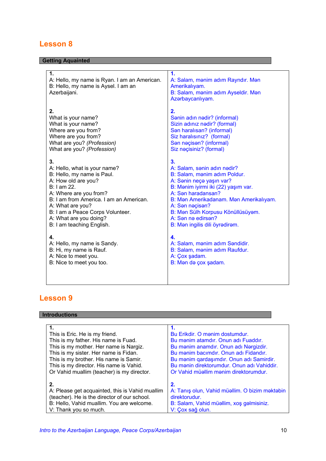### <span id="page-9-0"></span>**Getting Aquainted**

| 1.<br>A: Hello, my name is Ryan. I am an American.<br>B: Hello, my name is Aysel. I am an<br>Azerbaijani. | 1.<br>A: Salam, mənim adım Rayndır. Mən<br>Amerikalıyam.<br>B: Salam, mənim adım Ayseldir. Mən<br>Azərbaycanlıyam. |
|-----------------------------------------------------------------------------------------------------------|--------------------------------------------------------------------------------------------------------------------|
| 2.                                                                                                        | 2.                                                                                                                 |
| What is your name?                                                                                        | Sanin adın nadir? (informal)                                                                                       |
| What is your name?                                                                                        | Sizin adınız nədir? (formal)                                                                                       |
| Where are you from?                                                                                       | San haralisan? (informal)                                                                                          |
| Where are you from?                                                                                       | Siz haralısınız? (formal)                                                                                          |
| What are you? (Profession)                                                                                | San naçisan? (informal)                                                                                            |
| What are you? (Profession)                                                                                | Siz naçisiniz? (formal)                                                                                            |
| 3.                                                                                                        | 3.                                                                                                                 |
| A: Hello, what is your name?                                                                              | A: Salam, sonin adın nədir?                                                                                        |
| B: Hello, my name is Paul.                                                                                | B: Salam, mənim adım Poldur.                                                                                       |
| A: How old are you?                                                                                       | A: Sanin neça yaşın var?                                                                                           |
| B: I am 22.                                                                                               | B: Mənim iyirmi iki (22) yaşım var.                                                                                |
| A: Where are you from?                                                                                    | A: San haradansan?                                                                                                 |
| B: I am from America. I am an American.                                                                   | B: Man Amerikadanam. Man Amerikalıyam.                                                                             |
| A: What are you?                                                                                          | A: San naçisan?                                                                                                    |
| B: I am a Peace Corps Volunteer.                                                                          | B: Man Sülh Korpusu Könüllüsüyam.                                                                                  |
| A: What are you doing?                                                                                    | A: San na edirsan?                                                                                                 |
| B: I am teaching English.                                                                                 | B: Man ingilis dili öyradiram.                                                                                     |
| 4.                                                                                                        | 4.                                                                                                                 |
| A: Hello, my name is Sandy.                                                                               | A: Salam, manim adım Sandidir.                                                                                     |
| B: Hi, my name is Rauf.                                                                                   | B: Salam, mənim adım Raufdur.                                                                                      |
| A: Nice to meet you.                                                                                      | A: Çox şadam.                                                                                                      |
| B: Nice to meet you too.                                                                                  | B: Man da çox şadam.                                                                                               |

# **Lesson 9**

### **Introductions**

| This is Eric. He is my friend.                  | Bu Erikdir. O manim dostumdur.                 |
|-------------------------------------------------|------------------------------------------------|
| This is my father. His name is Fuad.            | Bu manim atamdır. Onun adı Fuaddır.            |
| This is my mother. Her name is Nargiz.          | Bu manim anamdır. Onun adı Nargizdir.          |
| This is my sister. Her name is Fidan.           | Bu manim bacımdır. Onun adı Fidandır.          |
| This is my brother. His name is Samir.          | Bu mənim qardaşımdır. Onun adı Samirdir.       |
| This is my director. His name is Vahid.         | Bu manin direktorumdur. Onun adı Vahiddir.     |
| Or Vahid muallim (teacher) is my director.      | Or Vahid müəllim mənim direktorumdur.          |
|                                                 |                                                |
| 2.                                              | 2.                                             |
| A: Please get acquainted, this is Vahid muallim | A: Tanış olun, Vahid müəllim. O bizim məktəbin |
| (teacher). He is the director of our school.    | direktorudur.                                  |
| B: Hello, Vahid muallim. You are welcome.       | B: Salam, Vahid müəllim, xoş gəlmisiniz.       |
| V: Thank you so much.                           | V: Çox sağ olun.                               |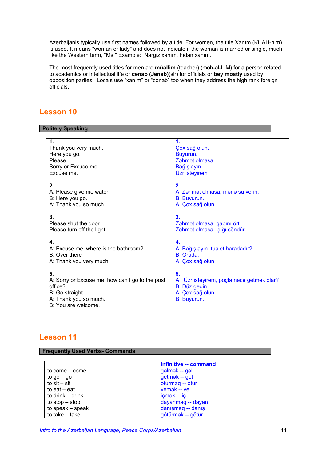<span id="page-10-0"></span>Azerbaijanis typically use first names followed by a title. For women, the title Xanım (KHAH-nim) is used. It means "woman or lady" and does not indicate if the woman is married or single, much like the Western term, "Ms." Example: Nargiz xanım, Fidan xanım.

The most frequently used titles for men are **müəllim** (teacher) (moh-al-LIM) for a person related to academics or intellectual life or **cənab (Jənab)**(sir) for officials or **bəy mostly** used by opposition parties. Locals use "xanım" or "cənab" too when they address the high rank foreign officials.

### **Lesson 10**

#### **Politely Speaking**

| 1.                                                                                                                                  | 1.                                                                                                  |
|-------------------------------------------------------------------------------------------------------------------------------------|-----------------------------------------------------------------------------------------------------|
| Thank you very much.                                                                                                                | Çox sağ olun.                                                                                       |
| Here you go.                                                                                                                        | Buyurun.                                                                                            |
| Please                                                                                                                              | Zahmat olmasa.                                                                                      |
| Sorry or Excuse me.                                                                                                                 | Bağışlayın.                                                                                         |
| Excuse me.                                                                                                                          | Üzr istayiram                                                                                       |
| 2.                                                                                                                                  | 2.                                                                                                  |
| A: Please give me water.                                                                                                            | A: Zahmat olmasa, mana su verin.                                                                    |
| B: Here you go.                                                                                                                     | B: Buyurun.                                                                                         |
| A: Thank you so much.                                                                                                               | A: Çox sağ olun.                                                                                    |
| 3.                                                                                                                                  | 3.                                                                                                  |
| Please shut the door.                                                                                                               | Zəhmət olmasa, qapını ört.                                                                          |
| Please turn off the light.                                                                                                          | Zəhmət olmasa, işığı söndür.                                                                        |
| 4.                                                                                                                                  | 4.                                                                                                  |
| A: Excuse me, where is the bathroom?                                                                                                | A: Bağışlayın, tualet haradadır?                                                                    |
| B: Over there                                                                                                                       | B: Orada.                                                                                           |
| A: Thank you very much.                                                                                                             | A: Çox sağ olun.                                                                                    |
| 5.<br>A: Sorry or Excuse me, how can I go to the post<br>office?<br>B: Go straight.<br>A: Thank you so much.<br>B: You are welcome. | 5.<br>A: Üzr istəyirəm, poçta necə getmək olar?<br>B: Düz gedin.<br>A: Çox sağ olun.<br>B: Buyurun. |

### **Lesson 11**

| <b>Frequently Used Verbs- Commands</b> |                       |  |
|----------------------------------------|-----------------------|--|
|                                        |                       |  |
|                                        | Infinitive -- command |  |
| to come – come                         | gəlmək -- gəl         |  |
| to $go - go$                           | getmək -- get         |  |
| to $s$ it – sit                        | oturmaq -- otur       |  |
| to eat $-$ eat                         | yemak -- ye           |  |
| to drink – drink                       | içmək -- iç           |  |
| to $stop - stop$                       | dayanmaq -- dayan     |  |
| to speak - speak                       | danışmaq -- danış     |  |
| to take $-$ take                       | götürmək -- götür     |  |

*Intro to the Azerbaijan Language, Peace Corps/Azerbaijan* 11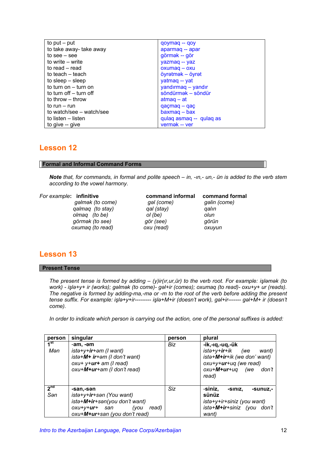<span id="page-11-0"></span>

| to put $-$ put           | qoymaq -- qoy           |
|--------------------------|-------------------------|
| to take away- take away  | aparmaq -- apar         |
| to see $-$ see           | görmək -- gör           |
| to write – write         | yazmaq -- yaz           |
| to read – read           | $oxumaq - oxu$          |
| to teach – teach         | öyrətmək – öyrət        |
| to sleep $-$ sleep       | yatmag -- yat           |
| to turn on - turn on     | yandırmaq – yandır      |
| to turn off – turn off   | söndürmək - söndür      |
| to throw – throw         | $atmaq - at$            |
| to run – run             | $qacmag - qac$          |
| to watch/see – watch/see | $baxmag - bax$          |
| to listen – listen       | qulaq asmaq -- qulaq as |
| to give -- give          | vermak -- ver           |

#### **Formal and Informal Command Forms**

*Note that, for commands, in formal and polite speech – in, -ın,- un,- ün is added to the verb stem according to the vowel harmony.* 

#### *For example***: infinitive command informal command formal**

 *gəlmək (to come) gəl (come) gəlin (come) qalmaq (to stay) qal (stay) qalın olmaq* (*to be*) *ol* (*be*)  *görmək (to see) gör (see) görün oxumaq (to read) oxu (read) oxuyun*

### **Lesson 13**

#### **Present Tense**

*The present tense is formed by adding – (y)ir(ır,ur,ür) to the verb root. For example: işləmək (to work) - işlə+y+ ir (works); gəlmək (to come)- gəl+ir (comes); oxumaq (to read)- oxu+y+ ur (reads). The negative is formed by adding-ma,-mə or -m to the root of the verb before adding the present tense suffix. For example: işlə+y+ir--------- işlə+M+ir (doesn't work), gəl+ir------- gəl+M+ ir (doesn't come).* 

*In order to indicate which person is carrying out the action, one of the personal suffixes is added:* 

| person                 | singular                                                                                                                                           | person | plural                                                                                                                                               |
|------------------------|----------------------------------------------------------------------------------------------------------------------------------------------------|--------|------------------------------------------------------------------------------------------------------------------------------------------------------|
| 1 <sup>st</sup><br>Mən | -am, -əm<br>ista+y+ir+am (I want)<br>ista+M+ ir+am (I don't want)<br>$oxu+ y+ur+ am$ (I read)<br>oxu+M+ur+am (I don't read)                        | Biz    | -ik,-ıq,-uq,-ük<br>istə+y+ <b>ir</b> +ik (we<br>want)<br>ista+M+ir+ik (we don' want)<br>oxu+y+ur+uq (we read)<br>$oxu+M+ur+uq$ (we<br>don't<br>read) |
| 2 <sup>nd</sup><br>Sən | -san.-sən<br>ista+y+ir+san (You want)<br>ista+M+ir+san(you don't want)<br>oxu+v+ <b>ur</b> + san<br>read)<br>(you<br>oxu+M+ur+san (you don't read) | Siz    | -siniz,<br>-SINIZ,<br>-sunuz.-<br>sünüz<br>ista+y+ir+siniz (you want)<br>ista+M+ir+siniz (you don't<br>want)                                         |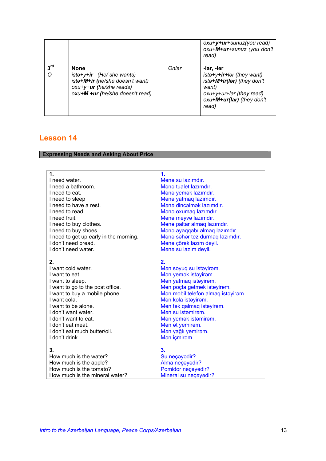<span id="page-12-0"></span>

|                 |                                                                                                                                                         |       | oxu+y+ur+sunuz(you read)<br>oxu+M+ur+sunuz (you don't<br>read)                                                                                   |
|-----------------|---------------------------------------------------------------------------------------------------------------------------------------------------------|-------|--------------------------------------------------------------------------------------------------------------------------------------------------|
| $3^{\text{rd}}$ | <b>None</b><br>$ist\rightarrow +y + ir$ (He/she wants)<br>ista+M+ir (he/she doesn't want)<br>oxu+y+ur (he/she reads)<br>oxu+M +ur (he/she doesn't read) | Onlar | -lar, -lər<br>ista+y+ir+lar (they want)<br>ista+M+ir(lar) (they don't<br>want)<br>oxu+y+ur+lar (they read)<br>oxu+M+ur(lar) (they don't<br>read) |

### **Expressing Needs and Asking About Price**

| 1.                                                                                                                                                                                                                                                                             | $\mathbf 1$                                                                                                                                                                                                                                                                                   |
|--------------------------------------------------------------------------------------------------------------------------------------------------------------------------------------------------------------------------------------------------------------------------------|-----------------------------------------------------------------------------------------------------------------------------------------------------------------------------------------------------------------------------------------------------------------------------------------------|
| I need water.                                                                                                                                                                                                                                                                  | Mana su lazimdir.                                                                                                                                                                                                                                                                             |
| I need a bathroom.                                                                                                                                                                                                                                                             | Mana tualet lazimdir.                                                                                                                                                                                                                                                                         |
| I need to eat.                                                                                                                                                                                                                                                                 | Mana yemak lazımdır.                                                                                                                                                                                                                                                                          |
| I need to sleep                                                                                                                                                                                                                                                                | Mana yatmaq lazımdır.                                                                                                                                                                                                                                                                         |
| I need to have a rest.                                                                                                                                                                                                                                                         | Mana dincalmak lazımdır.                                                                                                                                                                                                                                                                      |
| I need to read.                                                                                                                                                                                                                                                                | Mana oxumaq lazımdır.                                                                                                                                                                                                                                                                         |
| I need fruit.                                                                                                                                                                                                                                                                  | Mana meyva lazımdır.                                                                                                                                                                                                                                                                          |
| I need to buy clothes.                                                                                                                                                                                                                                                         | Mana paltar almaq lazımdır.                                                                                                                                                                                                                                                                   |
| I need to buy shoes.                                                                                                                                                                                                                                                           | Mənə ayaqqabı almaq lazımdır.                                                                                                                                                                                                                                                                 |
| I need to get up early in the morning.                                                                                                                                                                                                                                         | Mana sahar tez durmaq lazımdır.                                                                                                                                                                                                                                                               |
| I don't need bread.                                                                                                                                                                                                                                                            | Mənə çörək lazım deyil.                                                                                                                                                                                                                                                                       |
| I don't need water.                                                                                                                                                                                                                                                            | Mana su lazım deyil.                                                                                                                                                                                                                                                                          |
| 2.<br>I want cold water.<br>I want to eat.<br>I want to sleep.<br>I want to go to the post office.<br>I want to buy a mobile phone.<br>I want cola.<br>I want to be alone.<br>I don't want water.<br>I don't want to eat.<br>I don't eat meat.<br>I don't eat much butter/oil. | 2.<br>Man soyuq su istayiram.<br>Man yemak istayiram.<br>Man yatmaq istayiram.<br>Man poçta getmak istayiram.<br>Man mobil telefon almaq istayiram.<br>Man kola istayiram.<br>Man tak qalmaq istayiram.<br>Man su istamiram.<br>Man yemak istamiram.<br>Man at yemiram.<br>Mən yağlı yemirəm. |
| I don't drink.                                                                                                                                                                                                                                                                 | Man içmiram.                                                                                                                                                                                                                                                                                  |
|                                                                                                                                                                                                                                                                                |                                                                                                                                                                                                                                                                                               |
| 3.<br>How much is the water?                                                                                                                                                                                                                                                   | 3.<br>Su neçayadir?                                                                                                                                                                                                                                                                           |
| How much is the apple?                                                                                                                                                                                                                                                         | Alma neçayadir?                                                                                                                                                                                                                                                                               |
| How much is the tomato?                                                                                                                                                                                                                                                        | Pomidor neçayadir?                                                                                                                                                                                                                                                                            |
| How much is the mineral water?                                                                                                                                                                                                                                                 | Mineral su neçayadir?                                                                                                                                                                                                                                                                         |
|                                                                                                                                                                                                                                                                                |                                                                                                                                                                                                                                                                                               |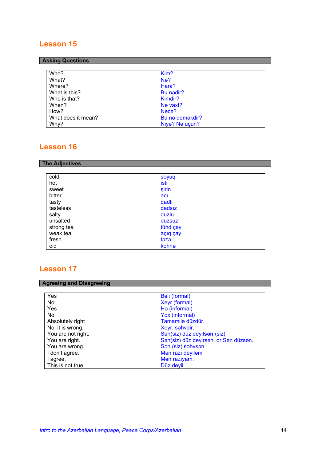### <span id="page-13-0"></span>**Asking Questions**

| Who?               | Kim?             |
|--------------------|------------------|
| What?              | N <sub>e</sub> ? |
| Where?             | Hara?            |
| What is this?      | Bu nedir?        |
| Who is that?       | Kimdir?          |
| When?              | Ne vaxt?         |
| How?               | Neca?            |
| What does it mean? | Bu na demakdir?  |
| Why?               | Niya? Na üçün?   |

# **Lesson 16**

### **The Adjectives**

| cold       | soyuq    |
|------------|----------|
| hot        | isti     |
| sweet      | şirin    |
| bitter     | acı      |
| tasty      | dadlı    |
| tasteless  | dadsız   |
| salty      | duzlu    |
| unsalted   | duzsuz   |
| strong tea | tünd çay |
| weak tea   | açıq çay |
| fresh      | təzə     |
| old        | köhnə    |

| <b>Agreeing and Disagreeing</b> |                                       |
|---------------------------------|---------------------------------------|
| Yes                             | Bəli (formal)                         |
| No.                             | Xeyr (formal)                         |
| Yes                             | H <sub>e</sub> (informal)             |
| No.                             | Yox (informal)                        |
| Absolutely right                | Tamamilə düzdür.                      |
| No, it is wrong.                | Xeyr, səhvdir.                        |
| You are not right.              | Sən(siz) düz deyilsən (siz)           |
| You are right.                  | San(siz) düz deyirsan. or San düzsan. |
| You are wrong.                  | San (siz) sahvsan                     |
| I don't agree.                  | Man razı deyilam                      |
| I agree.                        | Man raziyam.                          |
| This is not true.               | Düz deyil.                            |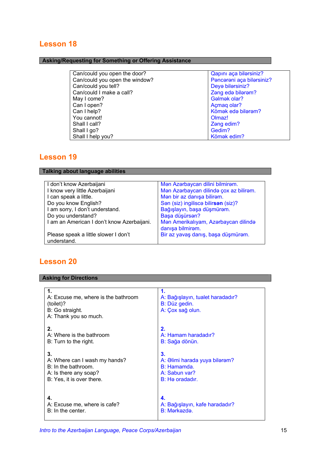### <span id="page-14-0"></span>**Asking/Requesting for Something or Offering Assistance**

| Qapını aça bilərsiniz?    |
|---------------------------|
| Pencereni aça bilersiniz? |
| Deya bilarsiniz?          |
| Zang eda bilaram?         |
| Gəlmək olar?              |
| Açmaq olar?               |
| Kömək edə bilərəm?        |
| Olmaz!                    |
| Zang edim?                |
| Gedim?                    |
| Kömək edim?               |
|                           |

# **Lesson 19**

**Talking about language abilities** 

| I don't know Azerbaijani                            | Mən Azərbaycan dilini bilmirəm.        |  |
|-----------------------------------------------------|----------------------------------------|--|
| I know very little Azerbaijani                      | Mən Azərbaycan dilində çox az bilirəm. |  |
| I can speak a little.                               | Mən bir az danışa bilirəm.             |  |
| Do you know English?                                | San (siz) ingilisca bilirsan (siz)?    |  |
| I am sorry, I don't understand.                     | Bağışlayın, başa düşmürəm.             |  |
| Do you understand?                                  | Başa düşürsən?                         |  |
| I am an American I don't know Azerbaijani.          | Man Amerikalıyam, Azarbaycan dilində   |  |
|                                                     | danışa bilmirəm.                       |  |
| Please speak a little slower I don't<br>understand. | Bir az yavaş danış, başa düşmürəm.     |  |
|                                                     |                                        |  |

# **Lesson 20**

### **Asking for Directions**

| 1.<br>A: Excuse me, where is the bathroom<br>(toilet)?<br>B: Go straight.<br>A: Thank you so much. | A: Bağışlayın, tualet haradadır?<br>B: Düz gedin.<br>A: Çox sağ olun. |
|----------------------------------------------------------------------------------------------------|-----------------------------------------------------------------------|
| 2.                                                                                                 | 2.                                                                    |
| A: Where is the bathroom                                                                           | A: Hamam haradadır?                                                   |
| B: Turn to the right.                                                                              | B: Sağa dönün.                                                        |
| 3.                                                                                                 | 3.                                                                    |
| A: Where can I wash my hands?                                                                      | A: Əlimi harada yuya bilərəm?                                         |
| B: In the bathroom.                                                                                | B: Hamamda.                                                           |
| A: Is there any soap?                                                                              | A: Sabun var?                                                         |
| B: Yes, it is over there.                                                                          | B: He oradadır.                                                       |
| 4.                                                                                                 | 4.                                                                    |
| A: Excuse me, where is cafe?                                                                       | A: Bağışlayın, kafe haradadır?                                        |
| B: In the center.                                                                                  | B: Mərkəzdə.                                                          |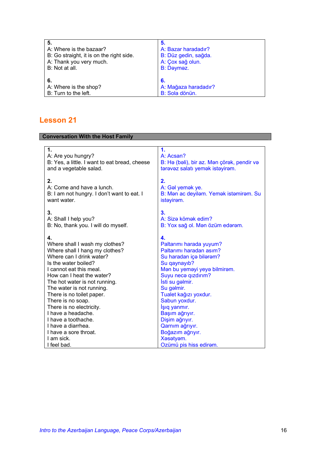<span id="page-15-0"></span>

| 5.                   |
|----------------------|
| A: Bazar haradadır?  |
| B: Düz gedin, sağda. |
| A: Çox sağ olun.     |
| B: Daymaz.           |
|                      |
| 6.                   |
| A: Mağaza haradadır? |
| B: Sola dönün.       |
|                      |

| <b>Conversation With the Host Family</b>                            |                                            |  |  |  |
|---------------------------------------------------------------------|--------------------------------------------|--|--|--|
|                                                                     |                                            |  |  |  |
| 1.                                                                  | 1.                                         |  |  |  |
| A: Are you hungry?<br>B: Yes, a little. I want to eat bread, cheese | A: Acsan?                                  |  |  |  |
| and a vegetable salad.                                              | B: Hə (bəli), bir az. Mən çörək, pendir və |  |  |  |
|                                                                     | tərəvəz salatı yemək istəyirəm.            |  |  |  |
| 2.                                                                  | 2.                                         |  |  |  |
| A: Come and have a lunch.                                           | A: Gal yemak ye.                           |  |  |  |
| B: I am not hungry. I don't want to eat. I                          | B: Man ac deyilam. Yemak istamiram. Su     |  |  |  |
| want water.                                                         | istayiram.                                 |  |  |  |
|                                                                     |                                            |  |  |  |
| 3.                                                                  | 3 <sub>1</sub>                             |  |  |  |
| A: Shall I help you?                                                | A: Siza kömək edim?                        |  |  |  |
| B: No, thank you. I will do myself.                                 | B: Yox sağ ol. Mən özüm edərəm.            |  |  |  |
| 4.                                                                  | 4.                                         |  |  |  |
| Where shall I wash my clothes?                                      | Paltarımı harada yuyum?                    |  |  |  |
| Where shall I hang my clothes?                                      | Paltarimi haradan asim?                    |  |  |  |
| Where can I drink water?                                            | Su haradan içə bilərəm?                    |  |  |  |
| Is the water boiled?                                                | Su qaynayıb?                               |  |  |  |
| I cannot eat this meal.                                             | Man bu yemayi yeya bilmiram.               |  |  |  |
| How can I heat the water?                                           | Suyu neca qızdırım?                        |  |  |  |
| The hot water is not running.                                       | İsti su gəlmir.                            |  |  |  |
| The water is not running.                                           | Su galmir.                                 |  |  |  |
| There is no toilet paper.                                           | Tualet kağızı yoxdur.                      |  |  |  |
| There is no soap.                                                   | Sabun yoxdur.                              |  |  |  |
| There is no electricity.                                            | İşıq yanmır.                               |  |  |  |
| I have a headache.                                                  | Başım ağrıyır.                             |  |  |  |
| I have a toothache.<br>I have a diarrhea.                           | Dişim ağrıyır.                             |  |  |  |
| I have a sore throat.                                               | Qarnım ağrıyır.<br>Boğazım ağrıyır.        |  |  |  |
| I am sick.                                                          | Xəsətyəm.                                  |  |  |  |
| I feel bad.                                                         | Ozümü pis hiss edirəm.                     |  |  |  |
|                                                                     |                                            |  |  |  |